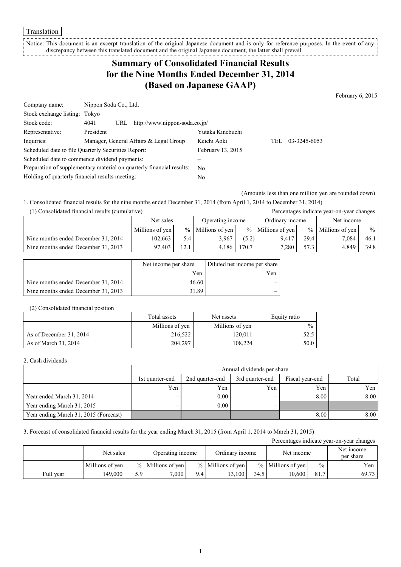Translation

Notice: This document is an excerpt translation of the original Japanese document and is only for reference purposes. In the event of any discrepancy between this translated document and the original Japanese document, the latter shall prevail. --------------

## **Summary of Consolidated Financial Results for the Nine Months Ended December 31, 2014 (Based on Japanese GAAP)**

February 6, 2015

| Company name:                                   | Nippon Soda Co., Ltd.                                                 |                   |      |              |
|-------------------------------------------------|-----------------------------------------------------------------------|-------------------|------|--------------|
| Stock exchange listing: Tokyo                   |                                                                       |                   |      |              |
| Stock code:                                     | URL http://www.nippon-soda.co.jp/<br>4041                             |                   |      |              |
| Representative:                                 | President                                                             | Yutaka Kinebuchi  |      |              |
| Inquiries:                                      | Manager, General Affairs & Legal Group                                | Keichi Aoki       | TEL. | 03-3245-6053 |
|                                                 | Scheduled date to file Quarterly Securities Report:                   | February 13, 2015 |      |              |
|                                                 | Scheduled date to commence dividend payments:                         |                   |      |              |
|                                                 | Preparation of supplementary material on quarterly financial results: | No.               |      |              |
| Holding of quarterly financial results meeting: |                                                                       | No                |      |              |

(Amounts less than one million yen are rounded down)

1. Consolidated financial results for the nine months ended December 31, 2014 (from April 1, 2014 to December 31, 2014) (1) Consolidated financial results (cumulative) Percentages indicate year-on-year changes

|                                     | Net sales       |      | Operating income    |       | Ordinary income     |      | Net income          |                 |
|-------------------------------------|-----------------|------|---------------------|-------|---------------------|------|---------------------|-----------------|
|                                     | Millions of yen |      | $%$ Millions of yen |       | $%$ Millions of yen |      | $%$ Millions of yen | $\frac{9}{6}$ 1 |
| Nine months ended December 31, 2014 | 102,663         | 5.4  | 3,967               | (5.2) | 9.417               | 29.4 | 7.084               | 46.1            |
| Nine months ended December 31, 2013 | 97.403          | 12.1 | 4.186               | 170.7 | 7.280               | 57.3 | 4.849               | 39.8            |

|                                     | Net income per share | Diluted net income per share |
|-------------------------------------|----------------------|------------------------------|
|                                     | Yen                  | Yen                          |
| Nine months ended December 31, 2014 | 46.60                |                              |
| Nine months ended December 31, 2013 | 31.89                |                              |

#### (2) Consolidated financial position

|                         | Total assets    | Net assets      |               |
|-------------------------|-----------------|-----------------|---------------|
|                         | Millions of yen | Millions of yen | $\frac{0}{0}$ |
| As of December 31, 2014 | 216,522         | 120,011         | 52.5          |
| As of March 31, 2014    | 204.297         | 108.224         | 50.0          |

#### 2. Cash dividends

|                                       |                 | Annual dividends per share                                     |     |      |      |  |  |  |
|---------------------------------------|-----------------|----------------------------------------------------------------|-----|------|------|--|--|--|
|                                       | 1st quarter-end | Total<br>2nd quarter-end<br>Fiscal year-end<br>3rd quarter-end |     |      |      |  |  |  |
|                                       | Yen             | Yen                                                            | Yen | Yen  | Yen  |  |  |  |
| Year ended March 31, 2014             |                 | 0.00                                                           |     | 8.00 | 8.00 |  |  |  |
| Year ending March 31, 2015            | —               | 0.00                                                           | —   |      |      |  |  |  |
| Year ending March 31, 2015 (Forecast) |                 |                                                                |     | 8.00 | 8.00 |  |  |  |

#### 3. Forecast of consolidated financial results for the year ending March 31, 2015 (from April 1, 2014 to March 31, 2015)

| Percentages indicate year-on-year changes |                               |     |                     |     |                     |      |                     |                         |       |
|-------------------------------------------|-------------------------------|-----|---------------------|-----|---------------------|------|---------------------|-------------------------|-------|
|                                           | Net sales<br>Operating income |     |                     |     | Ordinary income     |      | Net income          | Net income<br>per share |       |
|                                           | Millions of yen               |     | $%$ Millions of yen |     | $%$ Millions of yen |      | $%$ Millions of yen | $\frac{0}{0}$           | Yen   |
| Full year                                 | 149.000                       | 5.9 | 7.000               | 9.4 | 3.100               | 34.5 | 10.600              | 81.7                    | 69.73 |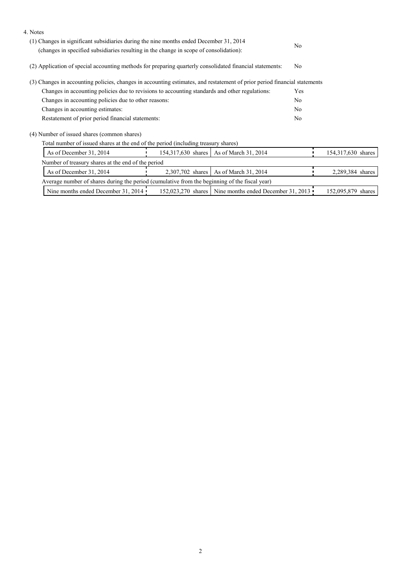| 4. Notes                                                                                                                                                                         |  |                                                        |    |                    |
|----------------------------------------------------------------------------------------------------------------------------------------------------------------------------------|--|--------------------------------------------------------|----|--------------------|
| (1) Changes in significant subsidiaries during the nine months ended December 31, 2014<br>(changes in specified subsidiaries resulting in the change in scope of consolidation): |  |                                                        |    |                    |
| (2) Application of special accounting methods for preparing quarterly consolidated financial statements:                                                                         |  | N <sub>0</sub>                                         |    |                    |
| (3) Changes in accounting policies, changes in accounting estimates, and restatement of prior period financial statements                                                        |  |                                                        |    |                    |
| Changes in accounting policies due to revisions to accounting standards and other regulations:                                                                                   |  |                                                        |    |                    |
| Changes in accounting policies due to other reasons:                                                                                                                             |  |                                                        |    |                    |
| Changes in accounting estimates:                                                                                                                                                 |  |                                                        | No |                    |
| Restatement of prior period financial statements:                                                                                                                                |  |                                                        |    |                    |
| (4) Number of issued shares (common shares)                                                                                                                                      |  |                                                        |    |                    |
| Total number of issued shares at the end of the period (including treasury shares)                                                                                               |  |                                                        |    |                    |
| As of December 31, 2014                                                                                                                                                          |  | 154,317,630 shares   As of March 31, 2014              |    | 154,317,630 shares |
| Number of treasury shares at the end of the period                                                                                                                               |  |                                                        |    |                    |
| As of March 31, 2014<br>As of December 31, 2014<br>2,307,702 shares                                                                                                              |  |                                                        |    | 2,289,384 shares   |
| Average number of shares during the period (cumulative from the beginning of the fiscal year)                                                                                    |  |                                                        |    |                    |
| Nine months ended December 31, 2014                                                                                                                                              |  | 152,023,270 shares Nine months ended December 31, 2013 |    | 152,095,879 shares |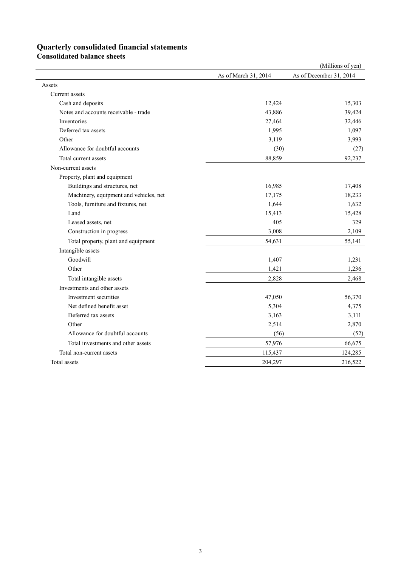# **Quarterly consolidated financial statements**

**Consolidated balance sheets**

|                                        |                      | (Millions of yen)       |
|----------------------------------------|----------------------|-------------------------|
|                                        | As of March 31, 2014 | As of December 31, 2014 |
| Assets                                 |                      |                         |
| Current assets                         |                      |                         |
| Cash and deposits                      | 12,424               | 15,303                  |
| Notes and accounts receivable - trade  | 43,886               | 39,424                  |
| Inventories                            | 27,464               | 32,446                  |
| Deferred tax assets                    | 1,995                | 1,097                   |
| Other                                  | 3,119                | 3,993                   |
| Allowance for doubtful accounts        | (30)                 | (27)                    |
| Total current assets                   | 88,859               | 92,237                  |
| Non-current assets                     |                      |                         |
| Property, plant and equipment          |                      |                         |
| Buildings and structures, net          | 16,985               | 17,408                  |
| Machinery, equipment and vehicles, net | 17,175               | 18,233                  |
| Tools, furniture and fixtures, net     | 1,644                | 1,632                   |
| Land                                   | 15,413               | 15,428                  |
| Leased assets, net                     | 405                  | 329                     |
| Construction in progress               | 3,008                | 2,109                   |
| Total property, plant and equipment    | 54,631               | 55,141                  |
| Intangible assets                      |                      |                         |
| Goodwill                               | 1,407                | 1,231                   |
| Other                                  | 1,421                | 1,236                   |
| Total intangible assets                | 2,828                | 2,468                   |
| Investments and other assets           |                      |                         |
| Investment securities                  | 47,050               | 56,370                  |
| Net defined benefit asset              | 5,304                | 4,375                   |
| Deferred tax assets                    | 3,163                | 3,111                   |
| Other                                  | 2,514                | 2,870                   |
| Allowance for doubtful accounts        | (56)                 | (52)                    |
| Total investments and other assets     | 57,976               | 66,675                  |
| Total non-current assets               | 115,437              | 124,285                 |
| Total assets                           | 204,297              | 216,522                 |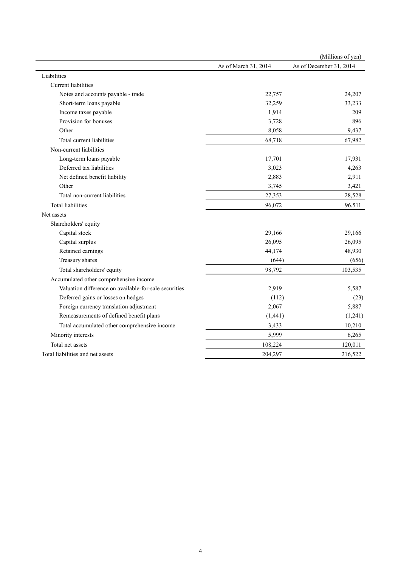|                                                       |                      | (Millions of yen)       |
|-------------------------------------------------------|----------------------|-------------------------|
|                                                       | As of March 31, 2014 | As of December 31, 2014 |
| Liabilities                                           |                      |                         |
| Current liabilities                                   |                      |                         |
| Notes and accounts payable - trade                    | 22,757               | 24,207                  |
| Short-term loans payable                              | 32,259               | 33,233                  |
| Income taxes payable                                  | 1,914                | 209                     |
| Provision for bonuses                                 | 3,728                | 896                     |
| Other                                                 | 8,058                | 9,437                   |
| Total current liabilities                             | 68,718               | 67,982                  |
| Non-current liabilities                               |                      |                         |
| Long-term loans payable                               | 17,701               | 17,931                  |
| Deferred tax liabilities                              | 3,023                | 4,263                   |
| Net defined benefit liability                         | 2,883                | 2,911                   |
| Other                                                 | 3,745                | 3,421                   |
| Total non-current liabilities                         | 27,353               | 28,528                  |
| <b>Total liabilities</b>                              | 96,072               | 96,511                  |
| Net assets                                            |                      |                         |
| Shareholders' equity                                  |                      |                         |
| Capital stock                                         | 29,166               | 29,166                  |
| Capital surplus                                       | 26,095               | 26,095                  |
| Retained earnings                                     | 44,174               | 48,930                  |
| Treasury shares                                       | (644)                | (656)                   |
| Total shareholders' equity                            | 98,792               | 103,535                 |
| Accumulated other comprehensive income                |                      |                         |
| Valuation difference on available-for-sale securities | 2,919                | 5,587                   |
| Deferred gains or losses on hedges                    | (112)                | (23)                    |
| Foreign currency translation adjustment               | 2,067                | 5,887                   |
| Remeasurements of defined benefit plans               | (1, 441)             | (1,241)                 |
| Total accumulated other comprehensive income          | 3,433                | 10,210                  |
| Minority interests                                    | 5,999                | 6,265                   |
| Total net assets                                      | 108,224              | 120,011                 |
| Total liabilities and net assets                      | 204,297              | 216,522                 |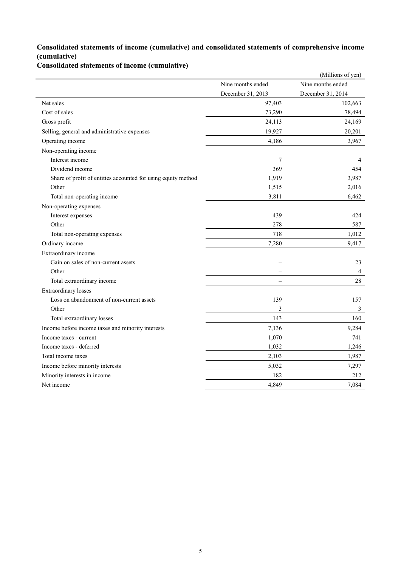### **Consolidated statements of income (cumulative) and consolidated statements of comprehensive income (cumulative)**

**Consolidated statements of income (cumulative)**

|                                                               |                          | (Millions of yen) |
|---------------------------------------------------------------|--------------------------|-------------------|
|                                                               | Nine months ended        | Nine months ended |
|                                                               | December 31, 2013        | December 31, 2014 |
| Net sales                                                     | 97,403                   | 102,663           |
| Cost of sales                                                 | 73,290                   | 78,494            |
| Gross profit                                                  | 24,113                   | 24,169            |
| Selling, general and administrative expenses                  | 19,927                   | 20,201            |
| Operating income                                              | 4,186                    | 3,967             |
| Non-operating income                                          |                          |                   |
| Interest income                                               | $\tau$                   | $\overline{4}$    |
| Dividend income                                               | 369                      | 454               |
| Share of profit of entities accounted for using equity method | 1,919                    | 3,987             |
| Other                                                         | 1,515                    | 2,016             |
| Total non-operating income                                    | 3,811                    | 6,462             |
| Non-operating expenses                                        |                          |                   |
| Interest expenses                                             | 439                      | 424               |
| Other                                                         | 278                      | 587               |
| Total non-operating expenses                                  | 718                      | 1,012             |
| Ordinary income                                               | 7,280                    | 9,417             |
| Extraordinary income                                          |                          |                   |
| Gain on sales of non-current assets                           |                          | 23                |
| Other                                                         |                          | $\overline{4}$    |
| Total extraordinary income                                    | $\overline{\phantom{0}}$ | 28                |
| <b>Extraordinary</b> losses                                   |                          |                   |
| Loss on abandonment of non-current assets                     | 139                      | 157               |
| Other                                                         | 3                        | 3                 |
| Total extraordinary losses                                    | 143                      | 160               |
| Income before income taxes and minority interests             | 7,136                    | 9,284             |
| Income taxes - current                                        | 1,070                    | 741               |
| Income taxes - deferred                                       | 1,032                    | 1,246             |
| Total income taxes                                            | 2,103                    | 1,987             |
| Income before minority interests                              | 5,032                    | 7,297             |
| Minority interests in income                                  | 182                      | 212               |
| Net income                                                    | 4,849                    | 7,084             |
|                                                               |                          |                   |